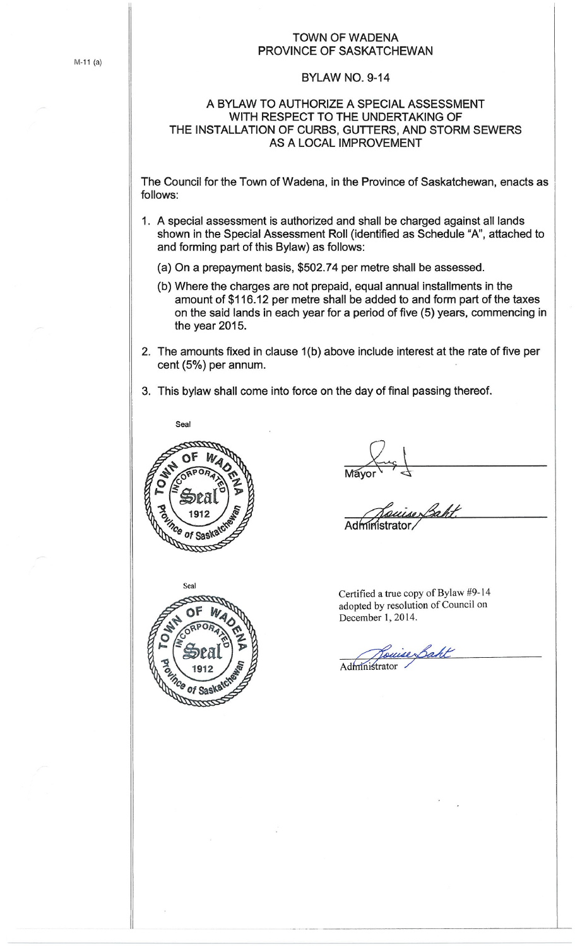## TOWN OF WADENA PROVINCE OF SASKATCHEWAN

## BYLAW NO. 9-14

## A BYLAW TO AUTHORIZE A SPECIAL ASSESSMENT WITH RESPECT TO THE UNDERTAKING OF THE INSTALLATION OF CURBS, GUTTERS, AND STORM SEWERS AS A LOCAL IMPROVEMENT

The Council for the Town of Wadena, in the Province of Saskatchewan, enacts as follows:

- 1. A special assessment is authorized and shall be charged against all lands shown in the Special Assessment Roll (identified as Schedule **"A",** attached to and forming part of this Bylaw) as follows:
	- (a) On a prepayment basis, \$502.74 per metre shall be assessed.
	- (b) Where the charges are not prepaid, equal annual installments in the amount of \$116 .12 per metre shall be added to and form part of the taxes on the said lands in each year for a period of five (5) years, commencing in the year 2015.
- 2. The amounts fixed in clause 1(b) above include interest at the rate of five per cent (5%) per annum.
- 3. This bylaw shall come into force on the day of final passing thereof.





Certified a true copy of Bylaw #9-14 adopted by resolution of Council on December I, 2014.

~Rouise Saht

M-11 (a)